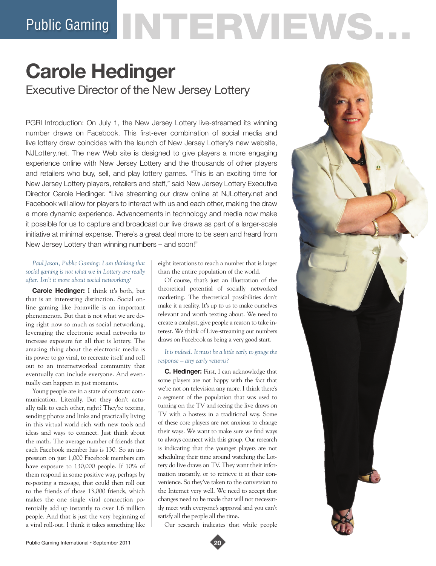# Public Gaming NTERVIEWS...

# **Carole Hedinger** Executive Director of the New Jersey Lottery

PGRI Introduction: On July 1, the New Jersey Lottery live-streamed its winning number draws on Facebook. This first-ever combination of social media and live lottery draw coincides with the launch of New Jersey Lottery's new website, NJLottery.net. The new Web site is designed to give players a more engaging experience online with New Jersey Lottery and the thousands of other players and retailers who buy, sell, and play lottery games. "This is an exciting time for New Jersey Lottery players, retailers and staff," said New Jersey Lottery Executive Director Carole Hedinger. "Live streaming our draw online at NJLottery.net and Facebook will allow for players to interact with us and each other, making the draw a more dynamic experience. Advancements in technology and media now make it possible for us to capture and broadcast our live draws as part of a larger-scale initiative at minimal expense. There's a great deal more to be seen and heard from New Jersey Lottery than winning numbers – and soon!"

*Paul Jason, Public Gaming: I am thinking that social gaming is not what we in Lottery are really after. Isn't it more about social networking?* 

**Carole Hedinger:** I think it's both, but that is an interesting distinction. Social online gaming like Farmville is an important phenomenon. But that is not what we are doing right now so much as social networking, leveraging the electronic social networks to increase exposure for all that is lottery. The amazing thing about the electronic media is its power to go viral, to recreate itself and roll out to an internetworked community that eventually can include everyone. And eventually can happen in just moments.

Young people are in a state of constant communication. Literally. But they don't actually talk to each other, right? They're texting, sending photos and links and practically living in this virtual world rich with new tools and ideas and ways to connect. Just think about the math. The average number of friends that each Facebook member has is 130. So an impression on just 1,000 Facebook members can have exposure to 130,000 people. If 10% of them respond in some positive way, perhaps by re-posting a message, that could then roll out to the friends of those 13,000 friends, which makes the one single viral connection potentially add up instantly to over 1.6 million people. And that is just the very beginning of a viral roll-out. I think it takes something like

eight iterations to reach a number that is larger than the entire population of the world.

Of course, that's just an illustration of the theoretical potential of socially networked marketing. The theoretical possibilities don't make it a reality. It's up to us to make ourselves relevant and worth texting about. We need to create a catalyst, give people a reason to take interest. We think of Live-streaming our numbers draws on Facebook as being a very good start.

# *It is indeed. It must be a little early to gauge the response – any early returns?*

**C. Hedinger:** First, I can acknowledge that some players are not happy with the fact that we're not on television any more. I think there's a segment of the population that was used to turning on the TV and seeing the live draws on TV with a hostess in a traditional way. Some of these core players are not anxious to change their ways. We want to make sure we find ways to always connect with this group. Our research is indicating that the younger players are not scheduling their time around watching the Lottery do live draws on TV. They want their information instantly, or to retrieve it at their convenience. So they've taken to the conversion to the Internet very well. We need to accept that changes need to be made that will not necessarily meet with everyone's approval and you can't satisfy all the people all the time.

Our research indicates that while people



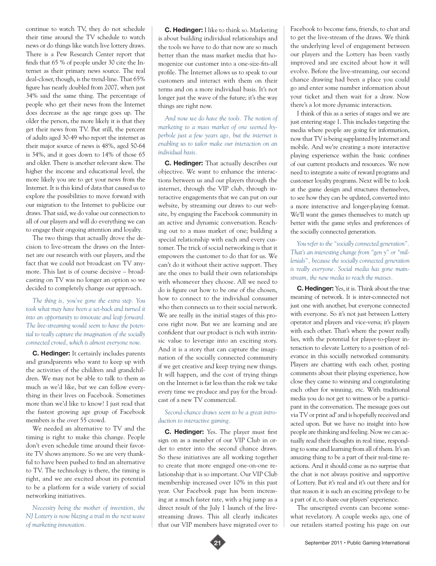continue to watch TV, they do not schedule their time around the TV schedule to watch news or do things like watch live lottery draws. There is a Pew Research Center report that finds that 65 % of people under 30 cite the Internet as their primary news source. The real deal-closer, though, is the trend-line. That 65% figure has nearly doubled from 2007, when just 34% said the same thing. The percentage of people who get their news from the Internet does decrease as the age range goes up. The older the person, the more likely it is that they get their news from TV. But still, the percent of adults aged 30-49 who report the internet as their major source of news is 48%, aged 50-64 is 34%, and it goes down to 14% of those 65 and older. There is another relevant skew. The higher the income and educational level, the more likely you are to get your news from the Internet. It is this kind of data that caused us to explore the possibilities to move forward with our migration to the Internet to publicize our draws. That said, we do value our connection to all of our players and will do everything we can to engage their ongoing attention and loyalty.

The two things that actually drove the decision to live-stream the draws on the Internet are our research with our players, and the fact that we could not broadcast on TV anymore. This last is of course decisive – broadcasting on TV was no longer an option so we decided to completely change our approach.

*The thing is, you've gone the extra step. You took what may have been a set-back and turned it into an opportunity to innovate and leap forward. The live-streaming would seem to have the potential to really capture the imagination of the socially connected crowd, which is almost everyone now.* 

**C. Hedinger:** It certainly includes parents and grandparents who want to keep up with the activities of the children and grandchildren. We may not be able to talk to them as much as we'd like, but we can follow everything in their lives on Facebook. Sometimes more than we'd like to know! I just read that the fastest growing age group of Facebook members is the over 55 crowd.

We needed an alternative to TV and the timing is right to make this change. People don't even schedule time around their favorite TV shows anymore. So we are very thankful to have been pushed to find an alternative to TV. The technology is there, the timing is right, and we are excited about its potential to be a platform for a wide variety of social networking initiatives.

*Necessity being the mother of invention, the NJ Lottery is now blazing a trail in the next wave of marketing innovation.* 

**C. Hedinger:** I like to think so. Marketing is about building individual relationships and the tools we have to do that now are so much better than the mass market media that homogenize our customer into a one-size-fits-all profile. The Internet allows us to speak to our customers and interact with them on their terms and on a more individual basis. It's not longer just the wave of the future; it's the way things are right now.

*And now we do have the tools. The notion of marketing to a mass market of one seemed hyperbole just a few years ago, but the internet is enabling us to tailor make our interaction on an individual basis.* 

**C. Hedinger:** That actually describes our objective. We want to enhance the interactions between us and our players through the internet, through the VIP club, through interactive engagements that we can put on our website, by streaming our draws to our website, by engaging the Facebook community in an active and dynamic conversation. Reaching out to a mass market of one; building a special relationship with each and every customer. The trick of social networking is that it empowers the customer to do that for us. We can't do it without their active support. They are the ones to build their own relationships with whomever they choose. All we need to do is figure out how to be one of the chosen, how to connect to the individual consumer who then connects us to their social network. We are really in the initial stages of this process right now. But we are learning and are confident that our product is rich with intrinsic value to leverage into an exciting story. And it is a story that can capture the imagination of the socially connected community if we get creative and keep trying new things. It will happen, and the cost of trying things on the Internet is far less than the risk we take every time we produce and pay for the broadcast of a new TV commercial.

# *Second-chance draws seem to be a great introduction to interactive gaming.*

**C. Hedinger:** Yes. The player must first sign on as a member of our VIP Club in order to enter into the second chance draws. So these initiatives are all working together to create that more engaged one-on-one relationship that is so important. Our VIP Club membership increased over 10% in this past year. Our Facebook page has been increasing at a much faster rate, with a big jump as a direct result of the July 1 launch of the livestreaming draws. This all clearly indicates that our VIP members have migrated over to Facebook to become fans, friends, to chat and to get the live-stream of the draws. We think the underlying level of engagement between our players and the Lottery has been vastly improved and are excited about how it will evolve. Before the live-streaming, our second chance drawing had been a place you could go and enter some number information about your ticket and then wait for a draw. Now there's a lot more dynamic interaction.

I think of this as a series of stages and we are just entering stage 1. This includes targeting the media where people are going for information, now that TV is being supplanted by Internet and mobile. And we're creating a more interactive playing experience within the basic confines of our current products and resources. We now need to integrate a suite of reward programs and customer loyalty programs. Next will be to look at the game design and structures themselves, to see how they can be updated, converted into a more interactive and longer-playing format. We'll want the games themselves to match up better with the game styles and preferences of the socially connected generation.

*You refer to the "socially connected generation". That's an interesting change from "gen y" or "millenials", because the socially connected generation is really everyone. Social media has gone mainstream, the new media to reach the masses.*

**C. Hedinger:** Yes, it is. Think about the true meaning of network. It is inter-connected not just one with another, but everyone connected with everyone. So it's not just between Lottery operator and players and vice-versa; it's players with each other. That's where the power really lies, with the potential for player-to-player interaction to elevate Lottery to a position of relevance in this socially networked community. Players are chatting with each other, posting comments about their playing experience, how close they came to winning and congratulating each other for winning, etc. With traditional media you do not get to witness or be a participant in the conversation. The message goes out via TV or print ad' and is hopefully received and acted upon. But we have no insight into how people are thinking and feeling. Now we can actually read their thoughts in real time, responding to some and learning from all of them. It's an amazing thing to be a part of their real-time reactions. And it should come as no surprise that the chat is not always positive and supportive of Lottery. But it's real and it's out there and for that reason it is such an exciting privilege to be a part of it, to share our players' experience.

The unscripted events can become somewhat revelatory. A couple weeks ago, one of our retailers started posting his page on our

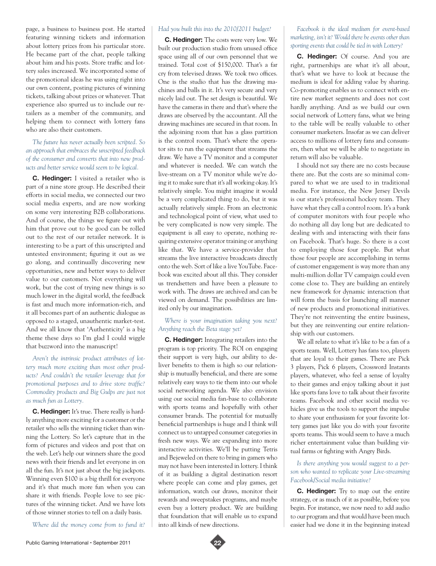page, a business to business post. He started featuring winning tickets and information about lottery prizes from his particular store. He became part of the chat, people talking about him and his posts. Store traffic and lottery sales increased. We incorporated some of the promotional ideas he was using right into our own content, posting pictures of winning tickets, talking about prizes or whatever. That experience also spurred us to include our retailers as a member of the community, and helping them to connect with lottery fans who are also their customers.

# *The future has never actually been scripted. So an approach that embraces the unscripted feedback of the consumer and converts that into new products and better service would seem to be logical.*

**C. Hedinger:** I visited a retailer who is part of a nine store group. He described their efforts in social media, we connected our two social media experts, and are now working on some very interesting B2B collaborations. And of course, the things we figure out with him that prove out to be good can be rolled out to the rest of our retailer network. It is interesting to be a part of this unscripted and untested environment; figuring it out as we go along, and continually discovering new opportunities, new and better ways to deliver value to our customers. Not everything will work, but the cost of trying new things is so much lower in the digital world, the feedback is fast and much more information-rich, and it all becomes part of an authentic dialogue as opposed to a staged, unauthentic market-test. And we all know that 'Authenticity' is a big theme these days so I'm glad I could wiggle that buzzword into the manuscript!

*Aren't the intrinsic product attributes of lottery much more exciting than most other products? And couldn't the retailer leverage that for promotional purposes and to drive store traffic? Commodity products and Big Gulps are just not as much fun as Lottery.* 

**C. Hedinger:** It's true. There really is hardly anything more exciting for a customer or the retailer who sells the winning ticket than winning the Lottery. So let's capture that in the form of pictures and videos and post that on the web. Let's help our winners share the good news with their friends and let everyone in on all the fun. It's not just about the big jackpots. Winning even \$100 is a big thrill for everyone and it's that much more fun when you can share it with friends. People love to see pictures of the winning ticket. And we have lots of those winner stories to tell on a daily basis.

*Where did the money come from to fund it?* 

# *Had you built this into the 2010/2011 budget?*

**C. Hedinger:** The costs were very low. We built our production studio from unused office space using all of our own personnel that we trained. Total cost of \$150,000. That's a far cry from televised draws. We took two offices. One is the studio that has the drawing machines and balls in it. It's very secure and very nicely laid out. The set design is beautiful. We have the cameras in there and that's where the draws are observed by the accountant. All the drawing machines are secured in that room. In the adjoining room that has a glass partition is the control room. That's where the operator sits to run the equipment that streams the draw. We have a TV monitor and a computer and whatever is needed. We can watch the live-stream on a TV monitor while we're doing it to make sure that it's all working okay. It's relatively simple. You might imagine it would be a very complicated thing to do, but it was actually relatively simple. From an electronic and technological point of view, what used to be very complicated is now very simple. The equipment is all easy to operate, nothing requiring extensive operator training or anything like that. We have a service-provider that streams the live interactive broadcasts directly onto the web. Sort of like a live YouTube. Facebook was excited about all this. They consider us trendsetters and have been a pleasure to work with. The draws are archived and can be viewed on demand. The possibilities are limited only by our imagination.

## *Where is your imagination taking you next? Anything reach the Beta stage yet?*

**C. Hedinger:** Integrating retailers into the program is top priority. The ROI on engaging their support is very high, our ability to deliver benefits to them is high so our relationship is mutually beneficial, and there are some relatively easy ways to tie them into our whole social networking agenda. We also envision using our social media fan-base to collaborate with sports teams and hopefully with other consumer brands. The potential for mutually beneficial partnerships is huge and I think will connect us to untapped consumer categories in fresh new ways. We are expanding into more interactive activities. We'll be putting Tetris and Bejeweled on there to bring in gamers who may not have been interested in lottery. I think of it as building a digital destination resort where people can come and play games, get information, watch our draws, monitor their rewards and sweepstakes programs, and maybe even buy a lottery product. We are building that foundation that will enable us to expand into all kinds of new directions.

*Facebook is the ideal medium for event-based marketing, isn't it? Would there be events other than sporting events that could be tied in with Lottery?* 

**C. Hedinger:** Of course. And you are right, partnerships are what it's all about, that's what we have to look at because the medium is ideal for adding value by sharing. Co-promoting enables us to connect with entire new market segments and does not cost hardly anything. And as we build our own social network of Lottery fans, what we bring to the table will be really valuable to other consumer marketers. Insofar as we can deliver access to millions of lottery fans and consumers, then what we will be able to negotiate in return will also be valuable.

I should not say there are no costs because there are. But the costs are so minimal compared to what we are used to in traditional media. For instance, the New Jersey Devils is our state's professional hockey team. They have what they call a control room. It's a bank of computer monitors with four people who do nothing all day long but are dedicated to dealing with and interacting with their fans on Facebook. That's huge. So there is a cost to employing those four people. But what those four people are accomplishing in terms of customer engagement is way more than any multi-million dollar TV campaign could even come close to. They are building an entirely new framework for dynamic interaction that will form the basis for launching all manner of new products and promotional initiatives. They're not reinventing the entire business, but they are reinventing our entire relationship with our customers.

We all relate to what it's like to be a fan of a sports team. Well, Lottery has fans too, players that are loyal to their games. There are Pick 3 players, Pick 6 players, Crossword Instants players, whatever, who feel a sense of loyalty to their games and enjoy talking about it just like sports fans love to talk about their favorite teams. Facebook and other social media vehicles give us the tools to support the impulse to share your enthusiasm for your favorite lottery games just like you do with your favorite sports teams. This would seem to have a much richer entertainment value than building virtual farms or fighting with Angry Birds.

*Is there anything you would suggest to a person who wanted to replicate your Live-streaming Facebook/Social media initiative?* 

**C. Hedinger:** Try to map out the entire strategy, or as much of it as possible, before you begin. For instance, we now need to add audio to our program and that would have been much easier had we done it in the beginning instead